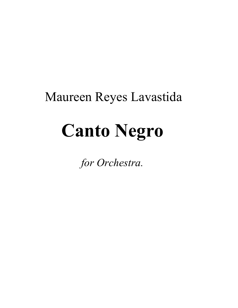# Maureen Reyes Lavastida

# **Canto Negro**

*for Orchestra.*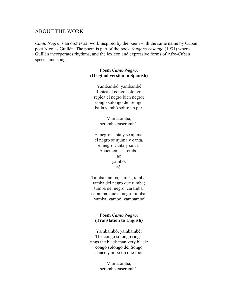## ABOUT THE WORK

*Canto Negro* is an orchestral work inspired by the poem with the same name by Cuban poet Nicolas Guillén. The poem is part of the book *Sóngoro cosongo* (1931) where Guillén incorporates rhythms, and the lexicon and expressive forms of Afro-Cuban speech and song.

### **Poem** *Canto Negro:* **(Original version in Spanish)**

¡Yambambó, yambambé! Repica el congo solongo, repica el negro bien negro; congo solongo del Songo baila yambó sobre un pie.

> Mamatomba, serembe cuserembá.

El negro canta y se ajuma, el negro se ajuma y canta, el negro canta y se va. Acuememe serembó, aé yambó, aé.

Tamba, tamba, tamba, tamba, tamba del negro que tumba; tumba del negro, caramba, caramba, que el negro tumba: ¡yamba, yambó, yambambé!

#### **Poem** *Canto Negro:* **(Translation to English)**

Yambambó, yambambé! The congo solongo rings, rings the black man very black; congo solongo del Songo dance yambó on one foot.

> Mamatomba, serembe cuserembá.